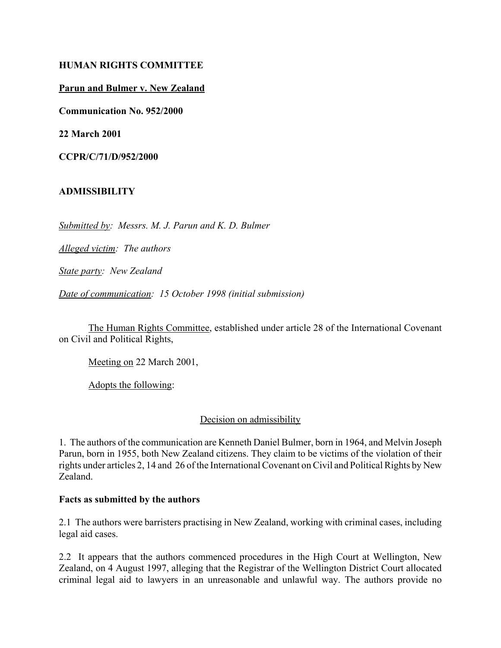## **HUMAN RIGHTS COMMITTEE**

## **Parun and Bulmer v. New Zealand**

**Communication No. 952/2000**

**22 March 2001**

**CCPR/C/71/D/952/2000** 

## **ADMISSIBILITY**

*Submitted by: Messrs. M. J. Parun and K. D. Bulmer* 

*Alleged victim: The authors* 

*State party: New Zealand* 

*Date of communication: 15 October 1998 (initial submission)* 

The Human Rights Committee, established under article 28 of the International Covenant on Civil and Political Rights,

Meeting on 22 March 2001,

Adopts the following:

#### Decision on admissibility

1. The authors of the communication are Kenneth Daniel Bulmer, born in 1964, and Melvin Joseph Parun, born in 1955, both New Zealand citizens. They claim to be victims of the violation of their rights under articles 2, 14 and 26 of the International Covenant on Civil and Political Rights by New Zealand.

#### **Facts as submitted by the authors**

2.1 The authors were barristers practising in New Zealand, working with criminal cases, including legal aid cases.

2.2 It appears that the authors commenced procedures in the High Court at Wellington, New Zealand, on 4 August 1997, alleging that the Registrar of the Wellington District Court allocated criminal legal aid to lawyers in an unreasonable and unlawful way. The authors provide no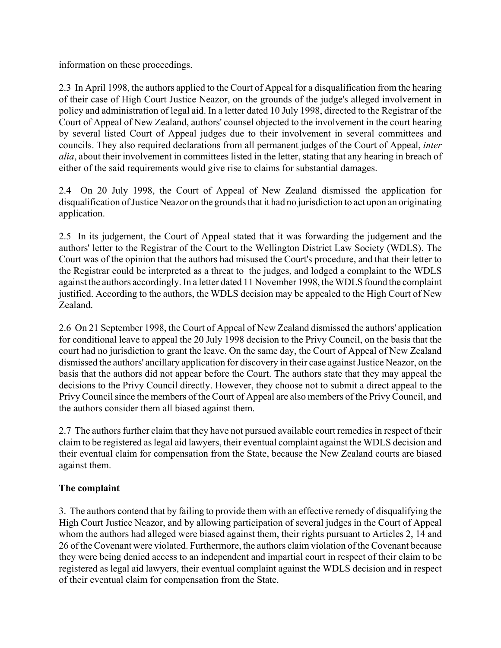information on these proceedings.

2.3 In April 1998, the authors applied to the Court of Appeal for a disqualification from the hearing of their case of High Court Justice Neazor, on the grounds of the judge's alleged involvement in policy and administration of legal aid. In a letter dated 10 July 1998, directed to the Registrar of the Court of Appeal of New Zealand, authors' counsel objected to the involvement in the court hearing by several listed Court of Appeal judges due to their involvement in several committees and councils. They also required declarations from all permanent judges of the Court of Appeal, *inter alia*, about their involvement in committees listed in the letter, stating that any hearing in breach of either of the said requirements would give rise to claims for substantial damages.

2.4 On 20 July 1998, the Court of Appeal of New Zealand dismissed the application for disqualification of Justice Neazor on the grounds that it had no jurisdiction to act upon an originating application.

2.5 In its judgement, the Court of Appeal stated that it was forwarding the judgement and the authors' letter to the Registrar of the Court to the Wellington District Law Society (WDLS). The Court was of the opinion that the authors had misused the Court's procedure, and that their letter to the Registrar could be interpreted as a threat to the judges, and lodged a complaint to the WDLS against the authors accordingly. In a letter dated 11 November 1998, the WDLS found the complaint justified. According to the authors, the WDLS decision may be appealed to the High Court of New Zealand.

2.6 On 21 September 1998, the Court of Appeal of New Zealand dismissed the authors' application for conditional leave to appeal the 20 July 1998 decision to the Privy Council, on the basis that the court had no jurisdiction to grant the leave. On the same day, the Court of Appeal of New Zealand dismissed the authors' ancillary application for discovery in their case against Justice Neazor, on the basis that the authors did not appear before the Court. The authors state that they may appeal the decisions to the Privy Council directly. However, they choose not to submit a direct appeal to the Privy Council since the members of the Court of Appeal are also members of the Privy Council, and the authors consider them all biased against them.

2.7 The authors further claim that they have not pursued available court remedies in respect of their claim to be registered as legal aid lawyers, their eventual complaint against the WDLS decision and their eventual claim for compensation from the State, because the New Zealand courts are biased against them.

# **The complaint**

3. The authors contend that by failing to provide them with an effective remedy of disqualifying the High Court Justice Neazor, and by allowing participation of several judges in the Court of Appeal whom the authors had alleged were biased against them, their rights pursuant to Articles 2, 14 and 26 of the Covenant were violated. Furthermore, the authors claim violation of the Covenant because they were being denied access to an independent and impartial court in respect of their claim to be registered as legal aid lawyers, their eventual complaint against the WDLS decision and in respect of their eventual claim for compensation from the State.